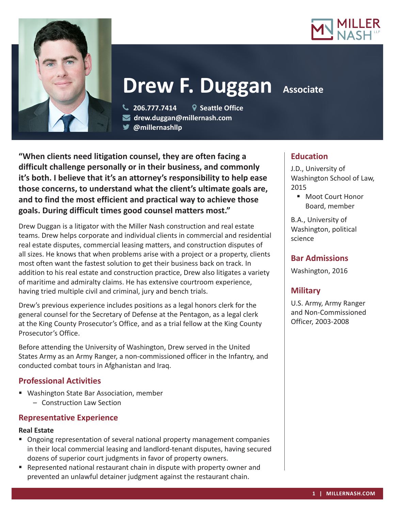



**Drew F. Duggan Associate** 

**"When clients need litigation counsel, they are often facing a difficult challenge personally or in their business, and commonly it's both. I believe that it's an attorney's responsibility to help ease those concerns, to understand what the client's ultimate goals are, and to find the most efficient and practical way to achieve those goals. During difficult times good counsel matters most."**

**@millernashllp** 

 **206.777.7414 Seattle Office drew.duggan@millernash.com** 

Drew Duggan is a litigator with the Miller Nash construction and real estate teams. Drew helps corporate and individual clients in commercial and residential real estate disputes, commercial leasing matters, and construction disputes of all sizes. He knows that when problems arise with a project or a property, clients most often want the fastest solution to get their business back on track. In addition to his real estate and construction practice, Drew also litigates a variety of maritime and admiralty claims. He has extensive courtroom experience, having tried multiple civil and criminal, jury and bench trials.

Drew's previous experience includes positions as a legal honors clerk for the general counsel for the Secretary of Defense at the Pentagon, as a legal clerk at the King County Prosecutor's Office, and as a trial fellow at the King County Prosecutor's Office.

Before attending the University of Washington, Drew served in the United States Army as an Army Ranger, a non-commissioned officer in the Infantry, and conducted combat tours in Afghanistan and Iraq.

## **Professional Activities**

 Washington State Bar Association, member – Construction Law Section

## **Representative Experience**

## **Real Estate**

- Ongoing representation of several national property management companies in their local commercial leasing and landlord-tenant disputes, having secured dozens of superior court judgments in favor of property owners.
- **•** Represented national restaurant chain in dispute with property owner and prevented an unlawful detainer judgment against the restaurant chain.

# **Education**

J.D., University of Washington School of Law, 2015

■ Moot Court Honor Board, member

B.A., University of Washington, political science

## **Bar Admissions**

Washington, 2016

# **Military**

U.S. Army, Army Ranger and Non-Commissioned Officer, 2003-2008